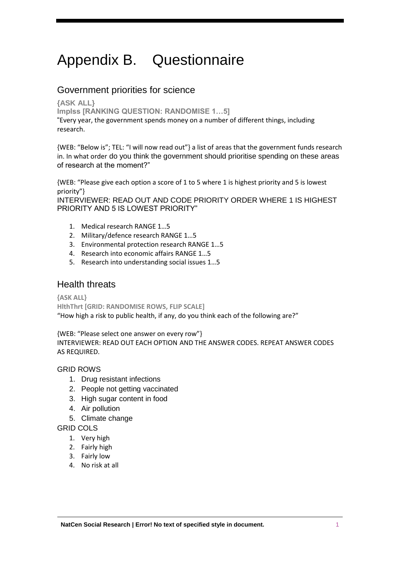# Appendix B. Questionnaire

### Government priorities for science

**{ASK ALL}**

**ImpIss [RANKING QUESTION: RANDOMISE 1…5]**

"Every year, the government spends money on a number of different things, including research.

{WEB: "Below is"; TEL: "I will now read out"} a list of areas that the government funds research in. In what order do you think the government should prioritise spending on these areas of research at the moment?"

{WEB: "Please give each option a score of 1 to 5 where 1 is highest priority and 5 is lowest priority"}

INTERVIEWER: READ OUT AND CODE PRIORITY ORDER WHERE 1 IS HIGHEST PRIORITY AND 5 IS LOWEST PRIORITY"

- 1. Medical research RANGE 1…5
- 2. Military/defence research RANGE 1…5
- 3. Environmental protection research RANGE 1…5
- 4. Research into economic affairs RANGE 1…5
- 5. Research into understanding social issues 1…5

### Health threats

**{ASK ALL} HlthThrt [GRID: RANDOMISE ROWS, FLIP SCALE]** "How high a risk to public health, if any, do you think each of the following are?"

{WEB: "Please select one answer on every row"} INTERVIEWER: READ OUT EACH OPTION AND THE ANSWER CODES. REPEAT ANSWER CODES AS REQUIRED.

GRID ROWS

- 1. Drug resistant infections
- 2. People not getting vaccinated
- 3. High sugar content in food
- 4. Air pollution
- 5. Climate change

GRID COLS

- 1. Very high
- 2. Fairly high
- 3. Fairly low
- 4. No risk at all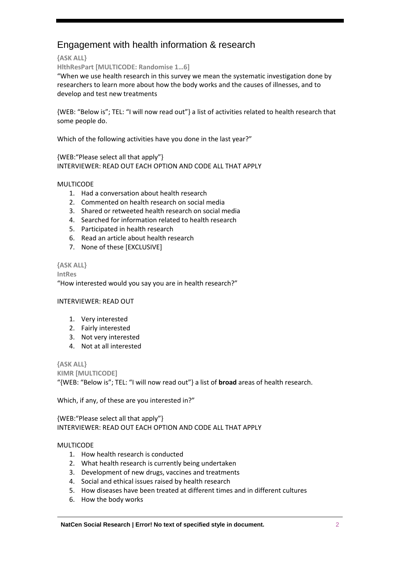## Engagement with health information & research

**{ASK ALL}**

**HlthResPart [MULTICODE: Randomise 1…6]**

"When we use health research in this survey we mean the systematic investigation done by researchers to learn more about how the body works and the causes of illnesses, and to develop and test new treatments

{WEB: "Below is"; TEL: "I will now read out"} a list of activities related to health research that some people do.

Which of the following activities have you done in the last year?"

{WEB:"Please select all that apply"} INTERVIEWER: READ OUT EACH OPTION AND CODE ALL THAT APPLY

### MULTICODE

- 1. Had a conversation about health research
- 2. Commented on health research on social media
- 3. Shared or retweeted health research on social media
- 4. Searched for information related to health research
- 5. Participated in health research
- 6. Read an article about health research
- 7. None of these [EXCLUSIVE]

### **{ASK ALL}**

**IntRes** "How interested would you say you are in health research?"

### INTERVIEWER: READ OUT

- 1. Very interested
- 2. Fairly interested
- 3. Not very interested
- 4. Not at all interested

**{ASK ALL}**

**KIMR [MULTICODE]** "{WEB: "Below is"; TEL: "I will now read out"} a list of **broad** areas of health research.

Which, if any, of these are you interested in?"

{WEB:"Please select all that apply"} INTERVIEWER: READ OUT EACH OPTION AND CODE ALL THAT APPLY

### MULTICODE

- 1. How health research is conducted
- 2. What health research is currently being undertaken
- 3. Development of new drugs, vaccines and treatments
- 4. Social and ethical issues raised by health research
- 5. How diseases have been treated at different times and in different cultures
- 6. How the body works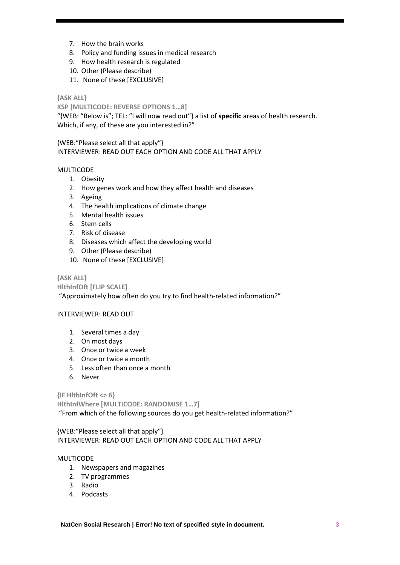- 7. How the brain works
- 8. Policy and funding issues in medical research
- 9. How health research is regulated
- 10. Other (Please describe)
- 11. None of these [EXCLUSIVE]

### **{ASK ALL}**

**KSP [MULTICODE: REVERSE OPTIONS 1…8]**

"{WEB: "Below is"; TEL: "I will now read out"} a list of **specific** areas of health research. Which, if any, of these are you interested in?"

{WEB:"Please select all that apply"} INTERVIEWER: READ OUT EACH OPTION AND CODE ALL THAT APPLY

### MULTICODE

- 1. Obesity
- 2. How genes work and how they affect health and diseases
- 3. Ageing
- 4. The health implications of climate change
- 5. Mental health issues
- 6. Stem cells
- 7. Risk of disease
- 8. Diseases which affect the developing world
- 9. Other (Please describe)
- 10. None of these [EXCLUSIVE]

### **{ASK ALL}**

**HlthInfOft [FLIP SCALE]**

"Approximately how often do you try to find health-related information?"

### INTERVIEWER: READ OUT

- 1. Several times a day
- 2. On most days
- 3. Once or twice a week
- 4. Once or twice a month
- 5. Less often than once a month
- 6. Never

**{IF HlthInfOft <> 6}**

**HlthInfWhere [MULTICODE: RANDOMISE 1…7]**

"From which of the following sources do you get health-related information?"

{WEB:"Please select all that apply"} INTERVIEWER: READ OUT EACH OPTION AND CODE ALL THAT APPLY

### MULTICODE

- 1. Newspapers and magazines
- 2. TV programmes
- 3. Radio
- 4. Podcasts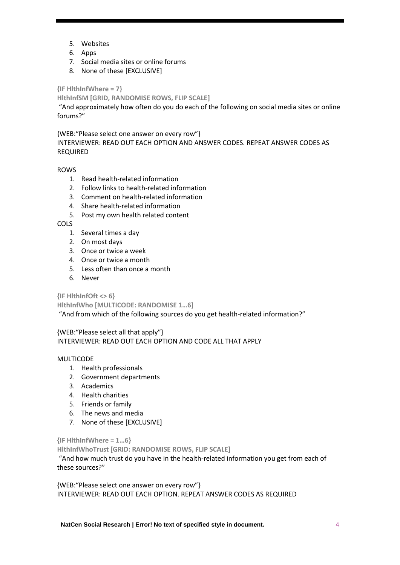- 5. Websites
- 6. Apps
- 7. Social media sites or online forums
- 8. None of these [EXCLUSIVE]

**{IF HlthInfWhere = 7}**

**HlthInfSM [GRID, RANDOMISE ROWS, FLIP SCALE]**

"And approximately how often do you do each of the following on social media sites or online forums?"

{WEB:"Please select one answer on every row"}

INTERVIEWER: READ OUT EACH OPTION AND ANSWER CODES. REPEAT ANSWER CODES AS REQUIRED

ROWS

- 1. Read health-related information
- 2. Follow links to health-related information
- 3. Comment on health-related information
- 4. Share health-related information
- 5. Post my own health related content

COLS

- 1. Several times a day
- 2. On most days
- 3. Once or twice a week
- 4. Once or twice a month
- 5. Less often than once a month
- 6. Never

**{IF HlthInfOft <> 6}**

**HlthInfWho [MULTICODE: RANDOMISE 1…6]**

"And from which of the following sources do you get health-related information?"

{WEB:"Please select all that apply"} INTERVIEWER: READ OUT EACH OPTION AND CODE ALL THAT APPLY

### MULTICODE

- 1. Health professionals
- 2. Government departments
- 3. Academics
- 4. Health charities
- 5. Friends or family
- 6. The news and media
- 7. None of these [EXCLUSIVE]

### **{IF HlthInfWhere = 1…6}**

**HlthInfWhoTrust [GRID: RANDOMISE ROWS, FLIP SCALE]**

"And how much trust do you have in the health-related information you get from each of these sources?"

{WEB:"Please select one answer on every row"} INTERVIEWER: READ OUT EACH OPTION. REPEAT ANSWER CODES AS REQUIRED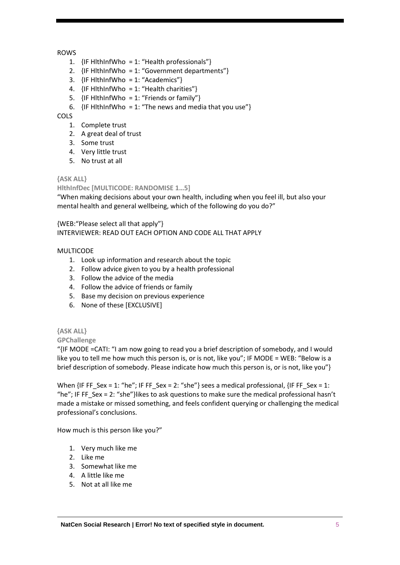### ROWS

- 1.  $\{IF HlthInfWho = 1: "Health professionals" \}$
- 2.  $\{IF H *H H H H W W W W W W W W W W W W W W W W W W W W W W W W W W*$
- 3.  $\{IF HlthInfWho = 1: "Academics"\}$
- 4.  $\{IF HlthInfWho = 1: "Health chapters"\}$
- 5.  $\{IF H *H H H H W W W*  $\} = 1$ : "Fig. 14.14$
- 6.  $\{IF H *II III III III III III III III III III III III III III III III III III III III III III III III III III III III III III*$

### **COLS**

- 1. Complete trust
- 2. A great deal of trust
- 3. Some trust
- 4. Very little trust
- 5. No trust at all

### **{ASK ALL}**

**HlthInfDec [MULTICODE: RANDOMISE 1…5]**

"When making decisions about your own health, including when you feel ill, but also your mental health and general wellbeing, which of the following do you do?"

{WEB:"Please select all that apply"} INTERVIEWER: READ OUT EACH OPTION AND CODE ALL THAT APPLY

### MULTICODE

- 1. Look up information and research about the topic
- 2. Follow advice given to you by a health professional
- 3. Follow the advice of the media
- 4. Follow the advice of friends or family
- 5. Base my decision on previous experience
- 6. None of these [EXCLUSIVE]

### **{ASK ALL}**

**GPChallenge**

"{IF MODE =CATI: "I am now going to read you a brief description of somebody, and I would like you to tell me how much this person is, or is not, like you"; IF MODE = WEB: "Below is a brief description of somebody. Please indicate how much this person is, or is not, like you"}

When  $\{IF FF$  Sex = 1: "he"; IF FF Sex = 2: "she"} sees a medical professional,  $\{IF FF$  Sex = 1: "he"; IF FF Sex = 2: "she"}likes to ask questions to make sure the medical professional hasn't made a mistake or missed something, and feels confident querying or challenging the medical professional's conclusions.

How much is this person like you?"

- 1. Very much like me
- 2. Like me
- 3. Somewhat like me
- 4. A little like me
- 5. Not at all like me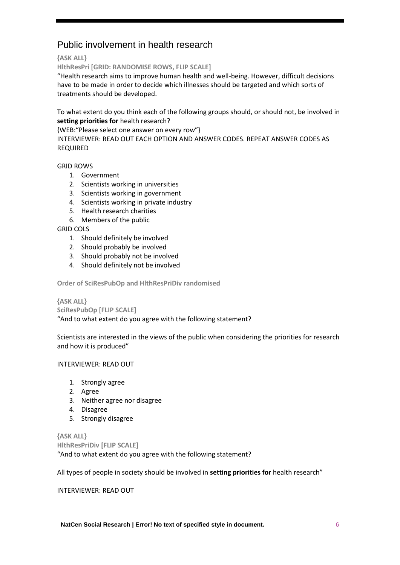# Public involvement in health research

**{ASK ALL}**

**HlthResPri [GRID: RANDOMISE ROWS, FLIP SCALE]**

"Health research aims to improve human health and well-being. However, difficult decisions have to be made in order to decide which illnesses should be targeted and which sorts of treatments should be developed.

To what extent do you think each of the following groups should, or should not, be involved in **setting priorities for** health research?

{WEB:"Please select one answer on every row"}

INTERVIEWER: READ OUT EACH OPTION AND ANSWER CODES. REPEAT ANSWER CODES AS REQUIRED

GRID ROWS

- 1. Government
- 2. Scientists working in universities
- 3. Scientists working in government
- 4. Scientists working in private industry
- 5. Health research charities
- 6. Members of the public

GRID COLS

- 1. Should definitely be involved
- 2. Should probably be involved
- 3. Should probably not be involved
- 4. Should definitely not be involved

**Order of SciResPubOp and HlthResPriDiv randomised**

**{ASK ALL} SciResPubOp [FLIP SCALE]**

"And to what extent do you agree with the following statement?

Scientists are interested in the views of the public when considering the priorities for research and how it is produced"

### INTERVIEWER: READ OUT

- 1. Strongly agree
- 2. Agree
- 3. Neither agree nor disagree
- 4. Disagree
- 5. Strongly disagree

**{ASK ALL} HlthResPriDiv [FLIP SCALE]** "And to what extent do you agree with the following statement?

All types of people in society should be involved in **setting priorities for** health research"

INTERVIEWER: READ OUT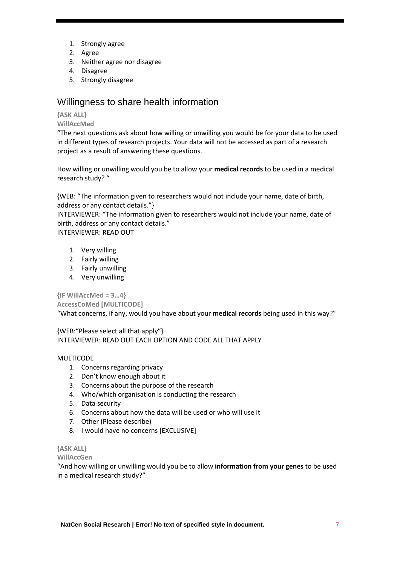- 1. Strongly agree
- 2. Agree
- 3. Neither agree nor disagree
- 4. Disagree
- 5. Strongly disagree

### Willingness to share health information

### **{ASK ALL}**

**WillAccMed**

"The next questions ask about how willing or unwilling you would be for your data to be used in different types of research projects. Your data will not be accessed as part of a research project as a result of answering these questions.

How willing or unwilling would you be to allow your **medical records** to be used in a medical research study? "

{WEB: "The information given to researchers would not include your name, date of birth, address or any contact details."}

INTERVIEWER: "The information given to researchers would not include your name, date of birth, address or any contact details."

INTERVIEWER: READ OUT

- 1. Very willing
- 2. Fairly willing
- 3. Fairly unwilling
- 4. Very unwilling

**{IF WillAccMed = 3…4}**

**AccessCoMed [MULTICODE]**

"What concerns, if any, would you have about your **medical records** being used in this way?"

{WEB:"Please select all that apply"} INTERVIEWER: READ OUT EACH OPTION AND CODE ALL THAT APPLY

### MULTICODE

- 1. Concerns regarding privacy
- 2. Don't know enough about it
- 3. Concerns about the purpose of the research
- 4. Who/which organisation is conducting the research
- 5. Data security
- 6. Concerns about how the data will be used or who will use it
- 7. Other (Please describe)
- 8. I would have no concerns [EXCLUSIVE]

### **{ASK ALL}**

**WillAccGen**

"And how willing or unwilling would you be to allow **information from your genes** to be used in a medical research study?"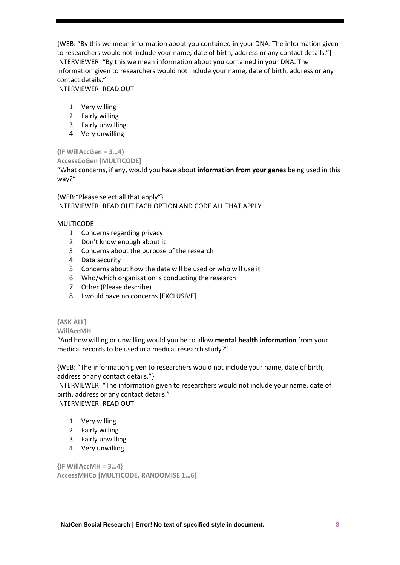{WEB: "By this we mean information about you contained in your DNA. The information given to researchers would not include your name, date of birth, address or any contact details."} INTERVIEWER: "By this we mean information about you contained in your DNA. The information given to researchers would not include your name, date of birth, address or any contact details."

INTERVIEWER: READ OUT

- 1. Very willing
- 2. Fairly willing
- 3. Fairly unwilling
- 4. Very unwilling

**{IF WillAccGen = 3…4}** 

**AccessCoGen [MULTICODE]**

"What concerns, if any, would you have about **information from your genes** being used in this way?"

{WEB:"Please select all that apply"} INTERVIEWER: READ OUT EACH OPTION AND CODE ALL THAT APPLY

### MULTICODE

- 1. Concerns regarding privacy
- 2. Don't know enough about it
- 3. Concerns about the purpose of the research
- 4. Data security
- 5. Concerns about how the data will be used or who will use it
- 6. Who/which organisation is conducting the research
- 7. Other (Please describe)
- 8. I would have no concerns [EXCLUSIVE]

### **{ASK ALL}**

### **WillAccMH**

"And how willing or unwilling would you be to allow **mental health information** from your medical records to be used in a medical research study?"

{WEB: "The information given to researchers would not include your name, date of birth, address or any contact details."}

INTERVIEWER: "The information given to researchers would not include your name, date of birth, address or any contact details."

INTERVIEWER: READ OUT

- 1. Very willing
- 2. Fairly willing
- 3. Fairly unwilling
- 4. Very unwilling

**{IF WillAccMH = 3…4} AccessMHCo [MULTICODE, RANDOMISE 1…6]**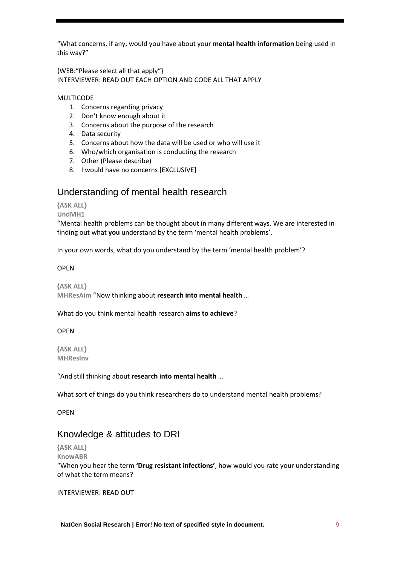"What concerns, if any, would you have about your **mental health information** being used in this way?"

{WEB:"Please select all that apply"} INTERVIEWER: READ OUT EACH OPTION AND CODE ALL THAT APPLY

### MULTICODE

- 1. Concerns regarding privacy
- 2. Don't know enough about it
- 3. Concerns about the purpose of the research
- 4. Data security
- 5. Concerns about how the data will be used or who will use it
- 6. Who/which organisation is conducting the research
- 7. Other (Please describe)
- 8. I would have no concerns [EXCLUSIVE]

### Understanding of mental health research

### **{ASK ALL}**

#### **UndMH1**

"Mental health problems can be thought about in many different ways. We are interested in finding out what **you** understand by the term 'mental health problems'.

In your own words, what do you understand by the term 'mental health problem'?

### OPEN

**{ASK ALL} MHResAim** "Now thinking about **research into mental health** …

What do you think mental health research **aims to achieve**?

### OPEN

**{ASK ALL} MHResInv**

"And still thinking about **research into mental health** …

What sort of things do you think researchers do to understand mental health problems?

OPEN

### Knowledge & attitudes to DRI

### **{ASK ALL}**

**KnowABR**

"When you hear the term **'Drug resistant infections'**, how would you rate your understanding of what the term means?

### INTERVIEWER: READ OUT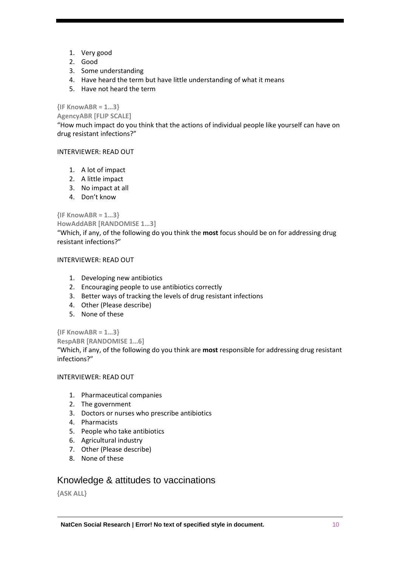- 1. Very good
- 2. Good
- 3. Some understanding
- 4. Have heard the term but have little understanding of what it means
- 5. Have not heard the term

### **{IF KnowABR = 1…3}**

**AgencyABR [FLIP SCALE]**

"How much impact do you think that the actions of individual people like yourself can have on drug resistant infections?"

### INTERVIEWER: READ OUT

- 1. A lot of impact
- 2. A little impact
- 3. No impact at all
- 4. Don't know

### **{IF KnowABR = 1…3}**

### **HowAddABR [RANDOMISE 1…3]**

"Which, if any, of the following do you think the **most** focus should be on for addressing drug resistant infections?"

### INTERVIEWER: READ OUT

- 1. Developing new antibiotics
- 2. Encouraging people to use antibiotics correctly
- 3. Better ways of tracking the levels of drug resistant infections
- 4. Other (Please describe)
- 5. None of these

### **{IF KnowABR = 1…3}**

**RespABR [RANDOMISE 1…6]**

"Which, if any, of the following do you think are **most** responsible for addressing drug resistant infections?"

### INTERVIEWER: READ OUT

- 1. Pharmaceutical companies
- 2. The government
- 3. Doctors or nurses who prescribe antibiotics
- 4. Pharmacists
- 5. People who take antibiotics
- 6. Agricultural industry
- 7. Other (Please describe)
- 8. None of these

### Knowledge & attitudes to vaccinations

**{ASK ALL}**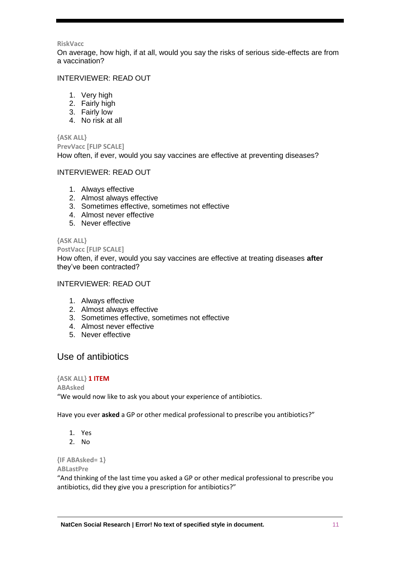#### **RiskVacc**

On average, how high, if at all, would you say the risks of serious side-effects are from a vaccination?

### INTERVIEWER: READ OUT

- 1. Very high
- 2. Fairly high
- 3. Fairly low
- 4. No risk at all

### **{ASK ALL}**

**PrevVacc [FLIP SCALE]**

How often, if ever, would you say vaccines are effective at preventing diseases?

### INTERVIEWER: READ OUT

- 1. Always effective
- 2. Almost always effective
- 3. Sometimes effective, sometimes not effective
- 4. Almost never effective
- 5. Never effective

### **{ASK ALL}**

### **PostVacc [FLIP SCALE]**

How often, if ever, would you say vaccines are effective at treating diseases **after** they've been contracted?

### INTERVIEWER: READ OUT

- 1. Always effective
- 2. Almost always effective
- 3. Sometimes effective, sometimes not effective
- 4. Almost never effective
- 5. Never effective

### Use of antibiotics

### **{ASK ALL} 1 ITEM**

**ABAsked** "We would now like to ask you about your experience of antibiotics.

Have you ever **asked** a GP or other medical professional to prescribe you antibiotics?"

- 1. Yes
- 2. No

### **{IF ABAsked= 1}**

**ABLastPre**

"And thinking of the last time you asked a GP or other medical professional to prescribe you antibiotics, did they give you a prescription for antibiotics?"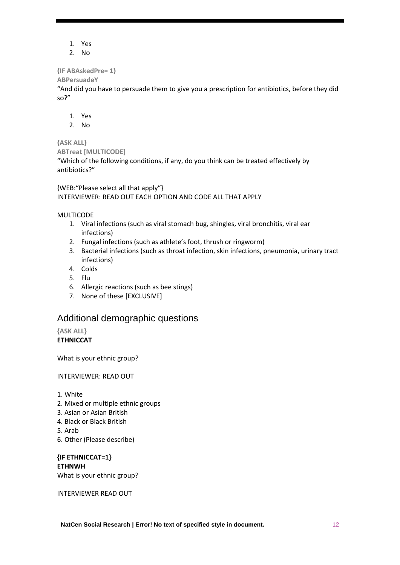- 1. Yes
- 2. No

### **{IF ABAskedPre= 1}**

### **ABPersuadeY**

"And did you have to persuade them to give you a prescription for antibiotics, before they did so?"

- 1. Yes
- 2. No

### **{ASK ALL}**

**ABTreat [MULTICODE]** "Which of the following conditions, if any, do you think can be treated effectively by antibiotics?"

{WEB:"Please select all that apply"} INTERVIEWER: READ OUT EACH OPTION AND CODE ALL THAT APPLY

### MULTICODE

- 1. Viral infections (such as viral stomach bug, shingles, viral bronchitis, viral ear infections)
- 2. Fungal infections (such as athlete's foot, thrush or ringworm)
- 3. Bacterial infections (such as throat infection, skin infections, pneumonia, urinary tract infections)
- 4. Colds
- 5. Flu
- 6. Allergic reactions (such as bee stings)
- 7. None of these [EXCLUSIVE]

### Additional demographic questions

**{ASK ALL}**

**ETHNICCAT**

What is your ethnic group?

### INTERVIEWER: READ OUT

- 1. White
- 2. Mixed or multiple ethnic groups
- 3. Asian or Asian British
- 4. Black or Black British
- 5. Arab
- 6. Other (Please describe)

**{IF ETHNICCAT=1} ETHNWH** What is your ethnic group?

INTERVIEWER READ OUT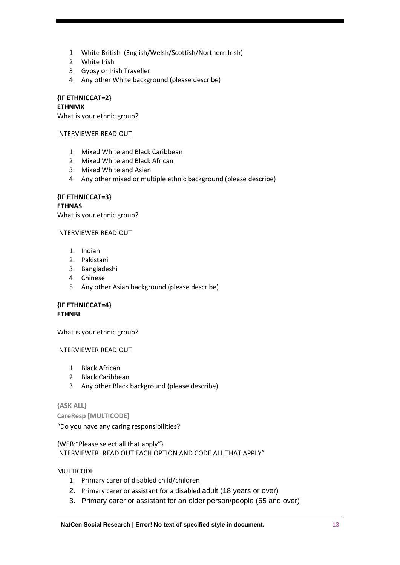- 1. White British (English/Welsh/Scottish/Northern Irish)
- 2. White Irish
- 3. Gypsy or Irish Traveller
- 4. Any other White background (please describe)

**{IF ETHNICCAT=2} ETHNMX**

What is your ethnic group?

INTERVIEWER READ OUT

- 1. Mixed White and Black Caribbean
- 2. Mixed White and Black African
- 3. Mixed White and Asian
- 4. Any other mixed or multiple ethnic background (please describe)

**{IF ETHNICCAT=3} ETHNAS**

What is your ethnic group?

### INTERVIEWER READ OUT

- 1. Indian
- 2. Pakistani
- 3. Bangladeshi
- 4. Chinese
- 5. Any other Asian background (please describe)

### **{IF ETHNICCAT=4} ETHNBL**

What is your ethnic group?

### INTERVIEWER READ OUT

- 1. Black African
- 2. Black Caribbean
- 3. Any other Black background (please describe)

### **{ASK ALL}**

**CareResp [MULTICODE]** 

"Do you have any caring responsibilities?

{WEB:"Please select all that apply"} INTERVIEWER: READ OUT EACH OPTION AND CODE ALL THAT APPLY"

MULTICODE

- 1. Primary carer of disabled child/children
- 2. Primary carer or assistant for a disabled adult (18 years or over)
- 3. Primary carer or assistant for an older person/people (65 and over)